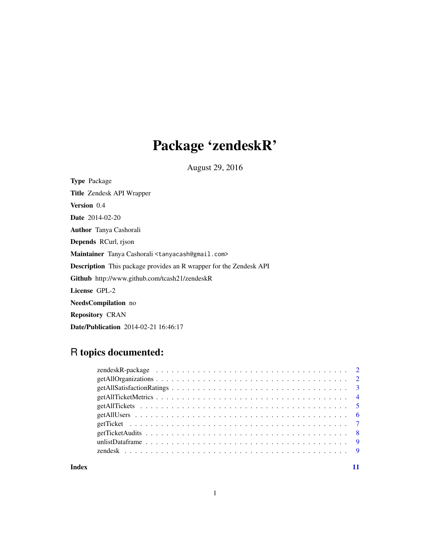# Package 'zendeskR'

August 29, 2016

| <b>Type</b> Package                                                       |
|---------------------------------------------------------------------------|
| <b>Title</b> Zendesk API Wrapper                                          |
| Version 0.4                                                               |
| <b>Date</b> 2014-02-20                                                    |
| <b>Author</b> Tanya Cashorali                                             |
| <b>Depends</b> RCurl, rison                                               |
| Maintainer Tanya Cashorali <tanyacash@gmail.com></tanyacash@gmail.com>    |
| <b>Description</b> This package provides an R wrapper for the Zendesk API |
| <b>Github</b> http://www.github.com/tcash21/zendeskR                      |
| License GPL-2                                                             |
| <b>NeedsCompilation</b> no                                                |
| <b>Repository CRAN</b>                                                    |
| <b>Date/Publication</b> 2014-02-21 16:46:17                               |

# R topics documented:

#### **Index** [11](#page-10-0)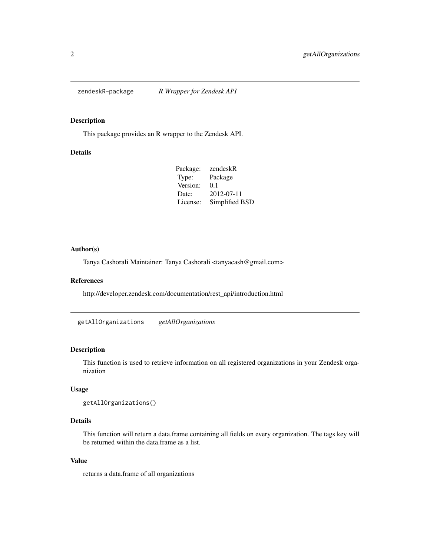<span id="page-1-0"></span>

# Description

This package provides an R wrapper to the Zendesk API.

#### Details

| Package: | zendeskR       |
|----------|----------------|
| Type:    | Package        |
| Version: | 0.1            |
| Date:    | 2012-07-11     |
| License: | Simplified BSD |

#### Author(s)

Tanya Cashorali Maintainer: Tanya Cashorali <tanyacash@gmail.com>

#### References

http://developer.zendesk.com/documentation/rest\_api/introduction.html

getAllOrganizations *getAllOrganizations*

#### Description

This function is used to retrieve information on all registered organizations in your Zendesk organization

# Usage

```
getAllOrganizations()
```
# Details

This function will return a data.frame containing all fields on every organization. The tags key will be returned within the data.frame as a list.

# Value

returns a data.frame of all organizations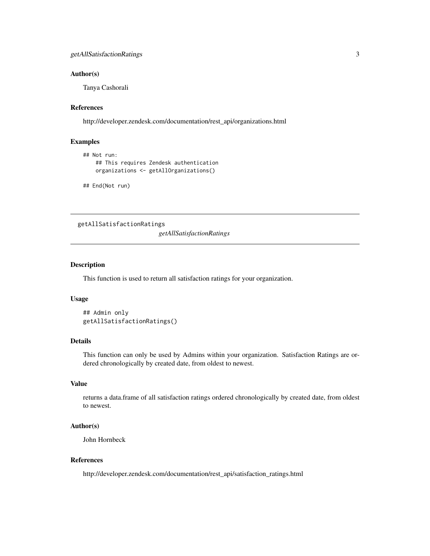#### <span id="page-2-0"></span>Author(s)

Tanya Cashorali

# References

http://developer.zendesk.com/documentation/rest\_api/organizations.html

# Examples

```
## Not run:
    ## This requires Zendesk authentication
   organizations <- getAllOrganizations()
```
## End(Not run)

getAllSatisfactionRatings

*getAllSatisfactionRatings*

#### Description

This function is used to return all satisfaction ratings for your organization.

#### Usage

```
## Admin only
getAllSatisfactionRatings()
```
#### Details

This function can only be used by Admins within your organization. Satisfaction Ratings are ordered chronologically by created date, from oldest to newest.

#### Value

returns a data.frame of all satisfaction ratings ordered chronologically by created date, from oldest to newest.

#### Author(s)

John Hornbeck

# References

http://developer.zendesk.com/documentation/rest\_api/satisfaction\_ratings.html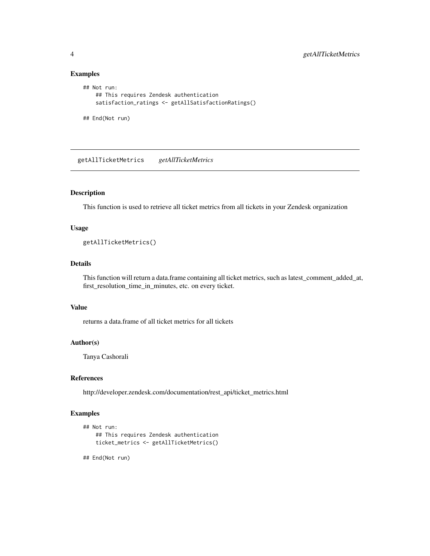# Examples

```
## Not run:
   ## This requires Zendesk authentication
   satisfaction_ratings <- getAllSatisfactionRatings()
```
## End(Not run)

getAllTicketMetrics *getAllTicketMetrics*

# Description

This function is used to retrieve all ticket metrics from all tickets in your Zendesk organization

# Usage

getAllTicketMetrics()

#### Details

This function will return a data.frame containing all ticket metrics, such as latest\_comment\_added\_at, first\_resolution\_time\_in\_minutes, etc. on every ticket.

#### Value

returns a data.frame of all ticket metrics for all tickets

#### Author(s)

Tanya Cashorali

# References

http://developer.zendesk.com/documentation/rest\_api/ticket\_metrics.html

# Examples

```
## Not run:
    ## This requires Zendesk authentication
    ticket_metrics <- getAllTicketMetrics()
```
<span id="page-3-0"></span>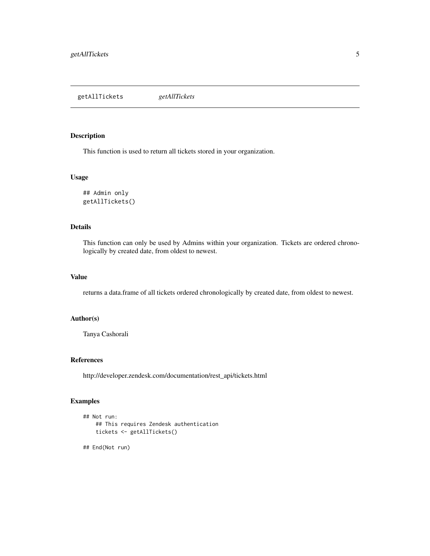<span id="page-4-0"></span>getAllTickets *getAllTickets*

#### Description

This function is used to return all tickets stored in your organization.

#### Usage

## Admin only getAllTickets()

# Details

This function can only be used by Admins within your organization. Tickets are ordered chronologically by created date, from oldest to newest.

# Value

returns a data.frame of all tickets ordered chronologically by created date, from oldest to newest.

#### Author(s)

Tanya Cashorali

#### References

http://developer.zendesk.com/documentation/rest\_api/tickets.html

# Examples

```
## Not run:
   ## This requires Zendesk authentication
   tickets <- getAllTickets()
```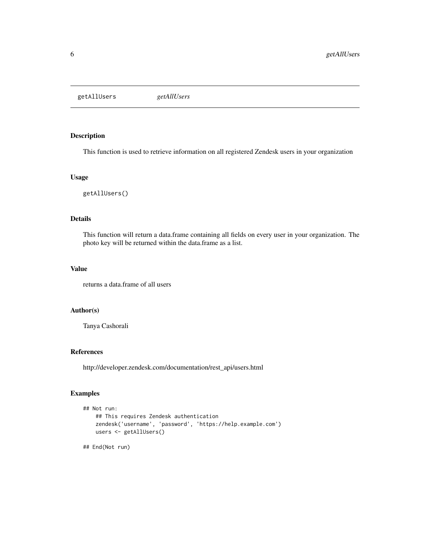<span id="page-5-0"></span>getAllUsers *getAllUsers*

## Description

This function is used to retrieve information on all registered Zendesk users in your organization

#### Usage

getAllUsers()

## Details

This function will return a data.frame containing all fields on every user in your organization. The photo key will be returned within the data.frame as a list.

#### Value

returns a data.frame of all users

## Author(s)

Tanya Cashorali

#### References

http://developer.zendesk.com/documentation/rest\_api/users.html

# Examples

```
## Not run:
   ## This requires Zendesk authentication
   zendesk('username', 'password', 'https://help.example.com')
   users <- getAllUsers()
```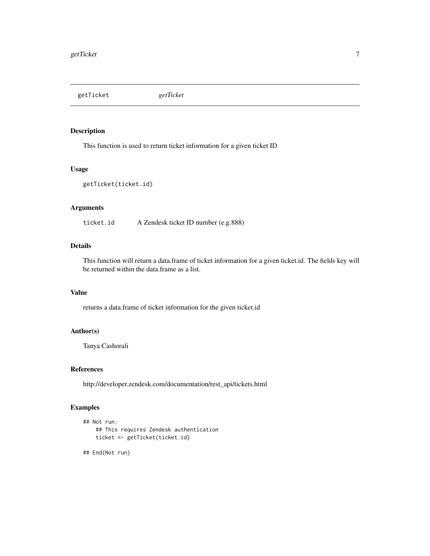<span id="page-6-0"></span>getTicket *getTicket*

# Description

This function is used to return ticket information for a given ticket ID

# Usage

```
getTicket(ticket.id)
```
# Arguments

ticket.id A Zendesk ticket ID number (e.g.888)

# Details

This function will return a data.frame of ticket information for a given ticket.id. The fields key will be returned within the data.frame as a list.

#### Value

returns a data.frame of ticket information for the given ticket.id

# Author(s)

Tanya Cashorali

# References

http://developer.zendesk.com/documentation/rest\_api/tickets.html

# Examples

```
## Not run:
    ## This requires Zendesk authentication
   ticket <- getTicket(ticket.id)
```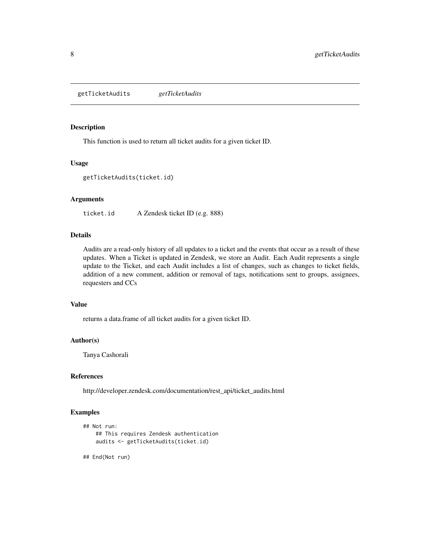<span id="page-7-0"></span>getTicketAudits *getTicketAudits*

# Description

This function is used to return all ticket audits for a given ticket ID.

#### Usage

```
getTicketAudits(ticket.id)
```
#### Arguments

ticket.id A Zendesk ticket ID (e.g. 888)

# Details

Audits are a read-only history of all updates to a ticket and the events that occur as a result of these updates. When a Ticket is updated in Zendesk, we store an Audit. Each Audit represents a single update to the Ticket, and each Audit includes a list of changes, such as changes to ticket fields, addition of a new comment, addition or removal of tags, notifications sent to groups, assignees, requesters and CCs

# Value

returns a data.frame of all ticket audits for a given ticket ID.

#### Author(s)

Tanya Cashorali

#### References

http://developer.zendesk.com/documentation/rest\_api/ticket\_audits.html

# Examples

```
## Not run:
    ## This requires Zendesk authentication
   audits <- getTicketAudits(ticket.id)
```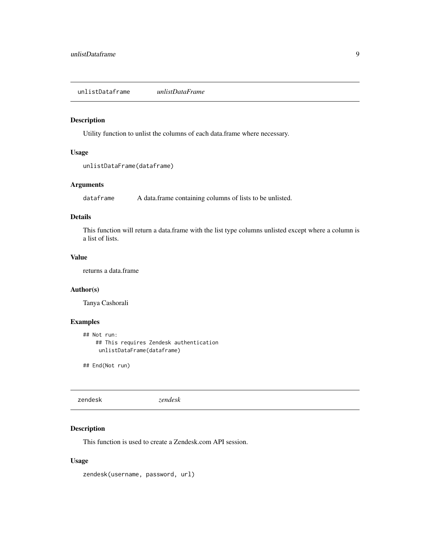<span id="page-8-0"></span>unlistDataframe *unlistDataFrame*

# Description

Utility function to unlist the columns of each data.frame where necessary.

# Usage

```
unlistDataFrame(dataframe)
```
# Arguments

dataframe A data.frame containing columns of lists to be unlisted.

# Details

This function will return a data.frame with the list type columns unlisted except where a column is a list of lists.

#### Value

returns a data.frame

#### Author(s)

Tanya Cashorali

# Examples

```
## Not run:
   ## This requires Zendesk authentication
    unlistDataFrame(dataframe)
```
## End(Not run)

zendesk *zendesk*

# Description

This function is used to create a Zendesk.com API session.

# Usage

zendesk(username, password, url)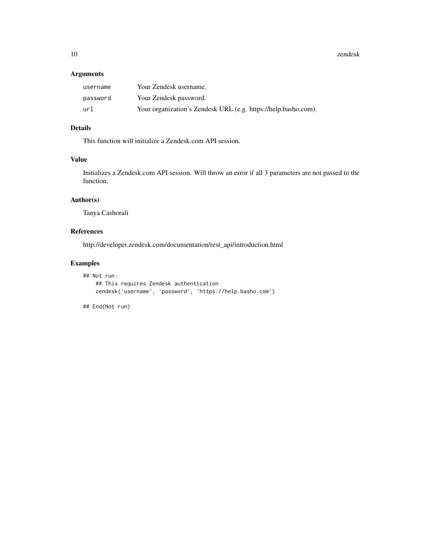10 zendesk generale in de statistike beste beste beste beste beste beste beste beste beste beste beste beste b

# Arguments

| username | Your Zendesk username.                                         |
|----------|----------------------------------------------------------------|
| password | Your Zendesk password.                                         |
| url      | Your organization's Zendesk URL (e.g. https://help.basho.com). |

# Details

This function will initialize a Zendesk.com API session.

# Value

Initializes a Zendesk.com API session. Will throw an error if all 3 parameters are not passed to the function.

# Author(s)

Tanya Cashorali

# References

http://developer.zendesk.com/documentation/rest\_api/introduction.html

#### Examples

```
## Not run:
   ## This requires Zendesk authentication
   zendesk('username', 'password', 'https://help.basho.com')
```